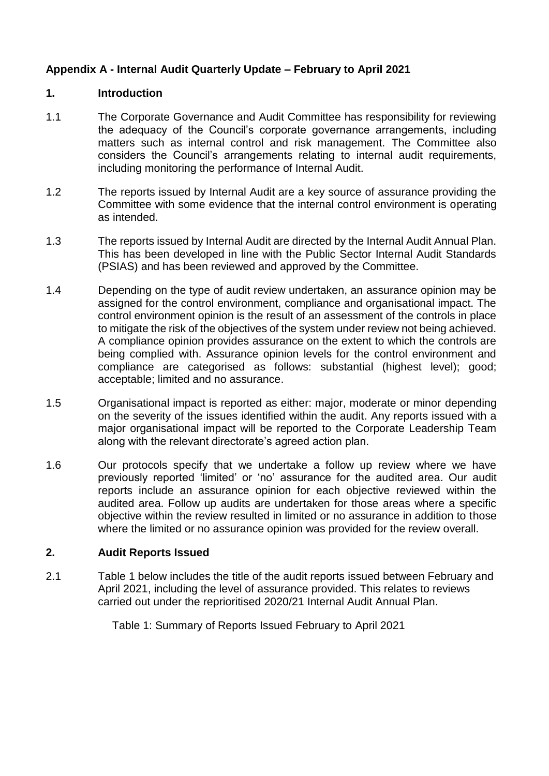## **Appendix A - Internal Audit Quarterly Update – February to April 2021**

#### **1. Introduction**

- 1.1 The Corporate Governance and Audit Committee has responsibility for reviewing the adequacy of the Council's corporate governance arrangements, including matters such as internal control and risk management. The Committee also considers the Council's arrangements relating to internal audit requirements, including monitoring the performance of Internal Audit.
- 1.2 The reports issued by Internal Audit are a key source of assurance providing the Committee with some evidence that the internal control environment is operating as intended.
- 1.3 The reports issued by Internal Audit are directed by the Internal Audit Annual Plan. This has been developed in line with the Public Sector Internal Audit Standards (PSIAS) and has been reviewed and approved by the Committee.
- 1.4 Depending on the type of audit review undertaken, an assurance opinion may be assigned for the control environment, compliance and organisational impact. The control environment opinion is the result of an assessment of the controls in place to mitigate the risk of the objectives of the system under review not being achieved. A compliance opinion provides assurance on the extent to which the controls are being complied with. Assurance opinion levels for the control environment and compliance are categorised as follows: substantial (highest level); good; acceptable; limited and no assurance.
- 1.5 Organisational impact is reported as either: major, moderate or minor depending on the severity of the issues identified within the audit. Any reports issued with a major organisational impact will be reported to the Corporate Leadership Team along with the relevant directorate's agreed action plan.
- 1.6 Our protocols specify that we undertake a follow up review where we have previously reported 'limited' or 'no' assurance for the audited area. Our audit reports include an assurance opinion for each objective reviewed within the audited area. Follow up audits are undertaken for those areas where a specific objective within the review resulted in limited or no assurance in addition to those where the limited or no assurance opinion was provided for the review overall.

## **2. Audit Reports Issued**

2.1 Table 1 below includes the title of the audit reports issued between February and April 2021, including the level of assurance provided. This relates to reviews carried out under the reprioritised 2020/21 Internal Audit Annual Plan.

Table 1: Summary of Reports Issued February to April 2021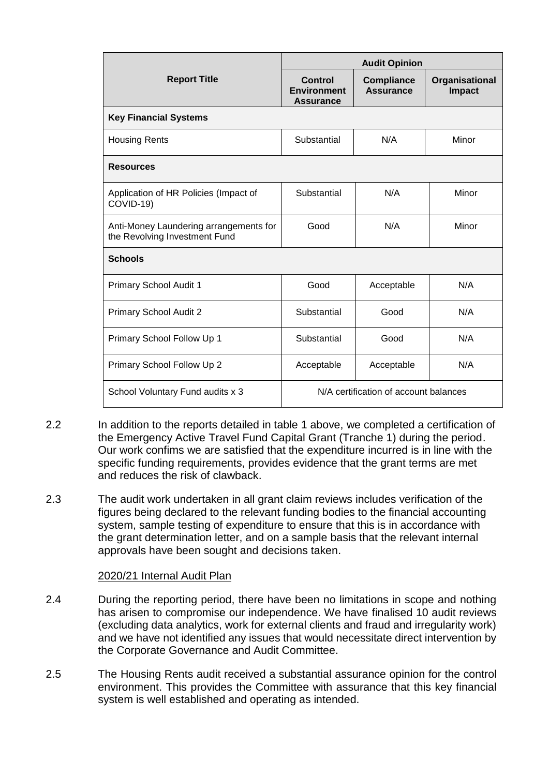|                                                                         |                                                          | <b>Audit Opinion</b>                  |                                 |
|-------------------------------------------------------------------------|----------------------------------------------------------|---------------------------------------|---------------------------------|
| <b>Report Title</b>                                                     | <b>Control</b><br><b>Environment</b><br><b>Assurance</b> | <b>Compliance</b><br><b>Assurance</b> | Organisational<br><b>Impact</b> |
| <b>Key Financial Systems</b>                                            |                                                          |                                       |                                 |
| <b>Housing Rents</b>                                                    | Substantial                                              | N/A                                   | Minor                           |
| <b>Resources</b>                                                        |                                                          |                                       |                                 |
| Application of HR Policies (Impact of<br>COVID-19)                      | Substantial                                              | N/A                                   | Minor                           |
| Anti-Money Laundering arrangements for<br>the Revolving Investment Fund | Good                                                     | N/A                                   | Minor                           |
| <b>Schools</b>                                                          |                                                          |                                       |                                 |
| Primary School Audit 1                                                  | Good                                                     | Acceptable                            | N/A                             |
| Primary School Audit 2                                                  | Substantial                                              | Good                                  | N/A                             |
| Primary School Follow Up 1                                              | Substantial                                              | Good                                  | N/A                             |
| Primary School Follow Up 2                                              | Acceptable                                               | Acceptable                            | N/A                             |
| School Voluntary Fund audits x 3                                        | N/A certification of account balances                    |                                       |                                 |

- 2.2 In addition to the reports detailed in table 1 above, we completed a certification of the Emergency Active Travel Fund Capital Grant (Tranche 1) during the period. Our work confims we are satisfied that the expenditure incurred is in line with the specific funding requirements, provides evidence that the grant terms are met and reduces the risk of clawback.
- 2.3 The audit work undertaken in all grant claim reviews includes verification of the figures being declared to the relevant funding bodies to the financial accounting system, sample testing of expenditure to ensure that this is in accordance with the grant determination letter, and on a sample basis that the relevant internal approvals have been sought and decisions taken.

## 2020/21 Internal Audit Plan

- 2.4 During the reporting period, there have been no limitations in scope and nothing has arisen to compromise our independence. We have finalised 10 audit reviews (excluding data analytics, work for external clients and fraud and irregularity work) and we have not identified any issues that would necessitate direct intervention by the Corporate Governance and Audit Committee.
- 2.5 The Housing Rents audit received a substantial assurance opinion for the control environment. This provides the Committee with assurance that this key financial system is well established and operating as intended.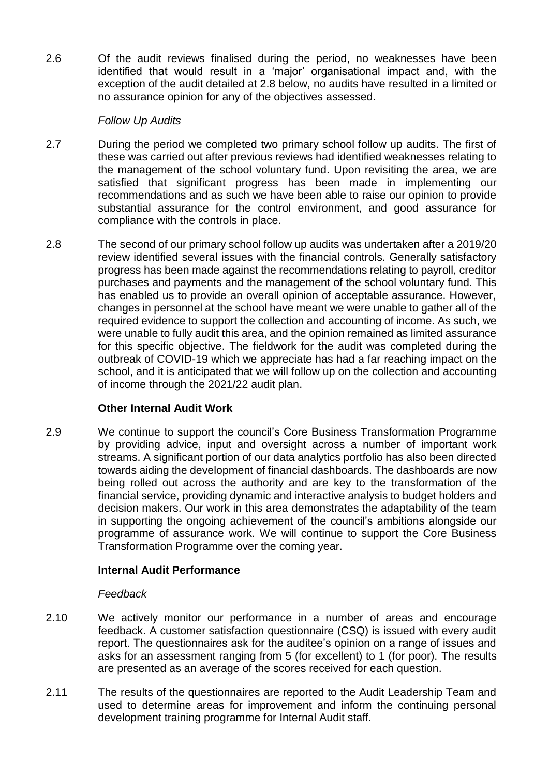2.6 Of the audit reviews finalised during the period, no weaknesses have been identified that would result in a 'major' organisational impact and, with the exception of the audit detailed at 2.8 below, no audits have resulted in a limited or no assurance opinion for any of the objectives assessed.

## *Follow Up Audits*

- 2.7 During the period we completed two primary school follow up audits. The first of these was carried out after previous reviews had identified weaknesses relating to the management of the school voluntary fund. Upon revisiting the area, we are satisfied that significant progress has been made in implementing our recommendations and as such we have been able to raise our opinion to provide substantial assurance for the control environment, and good assurance for compliance with the controls in place.
- 2.8 The second of our primary school follow up audits was undertaken after a 2019/20 review identified several issues with the financial controls. Generally satisfactory progress has been made against the recommendations relating to payroll, creditor purchases and payments and the management of the school voluntary fund. This has enabled us to provide an overall opinion of acceptable assurance. However, changes in personnel at the school have meant we were unable to gather all of the required evidence to support the collection and accounting of income. As such, we were unable to fully audit this area, and the opinion remained as limited assurance for this specific objective. The fieldwork for the audit was completed during the outbreak of COVID-19 which we appreciate has had a far reaching impact on the school, and it is anticipated that we will follow up on the collection and accounting of income through the 2021/22 audit plan.

## **Other Internal Audit Work**

2.9 We continue to support the council's Core Business Transformation Programme by providing advice, input and oversight across a number of important work streams. A significant portion of our data analytics portfolio has also been directed towards aiding the development of financial dashboards. The dashboards are now being rolled out across the authority and are key to the transformation of the financial service, providing dynamic and interactive analysis to budget holders and decision makers. Our work in this area demonstrates the adaptability of the team in supporting the ongoing achievement of the council's ambitions alongside our programme of assurance work. We will continue to support the Core Business Transformation Programme over the coming year.

## **Internal Audit Performance**

## *Feedback*

- 2.10 We actively monitor our performance in a number of areas and encourage feedback. A customer satisfaction questionnaire (CSQ) is issued with every audit report. The questionnaires ask for the auditee's opinion on a range of issues and asks for an assessment ranging from 5 (for excellent) to 1 (for poor). The results are presented as an average of the scores received for each question.
- 2.11 The results of the questionnaires are reported to the Audit Leadership Team and used to determine areas for improvement and inform the continuing personal development training programme for Internal Audit staff.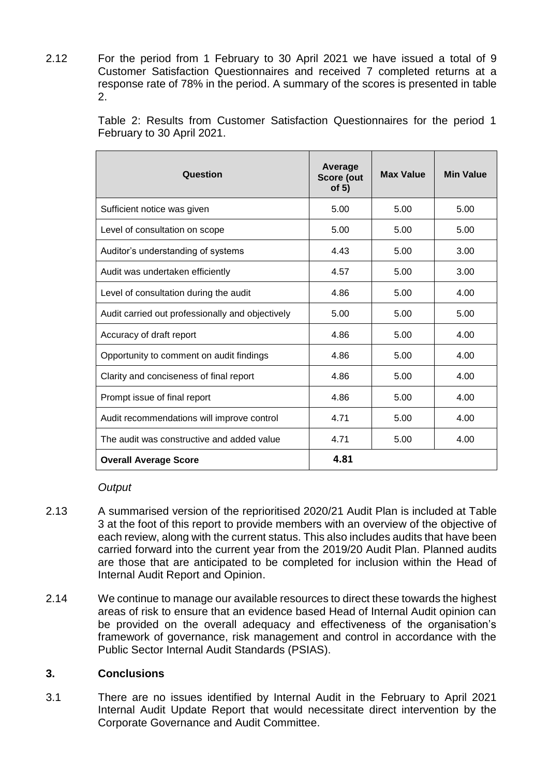2.12 For the period from 1 February to 30 April 2021 we have issued a total of 9 Customer Satisfaction Questionnaires and received 7 completed returns at a response rate of 78% in the period. A summary of the scores is presented in table 2.

> Table 2: Results from Customer Satisfaction Questionnaires for the period 1 February to 30 April 2021.

| Question                                         | Average<br>Score (out<br>of $5)$ | <b>Max Value</b> | <b>Min Value</b> |
|--------------------------------------------------|----------------------------------|------------------|------------------|
| Sufficient notice was given                      | 5.00                             | 5.00             | 5.00             |
| Level of consultation on scope                   | 5.00                             | 5.00             | 5.00             |
| Auditor's understanding of systems               | 4.43                             | 5.00             | 3.00             |
| Audit was undertaken efficiently                 | 4.57                             | 5.00             | 3.00             |
| Level of consultation during the audit           | 4.86                             | 5.00             | 4.00             |
| Audit carried out professionally and objectively | 5.00                             | 5.00             | 5.00             |
| Accuracy of draft report                         | 4.86                             | 5.00             | 4.00             |
| Opportunity to comment on audit findings         | 4.86                             | 5.00             | 4.00             |
| Clarity and conciseness of final report          | 4.86                             | 5.00             | 4.00             |
| Prompt issue of final report                     | 4.86                             | 5.00             | 4.00             |
| Audit recommendations will improve control       | 4.71                             | 5.00             | 4.00             |
| The audit was constructive and added value       | 4.71                             | 5.00             | 4.00             |
| <b>Overall Average Score</b>                     | 4.81                             |                  |                  |

#### *Output*

- 2.13 A summarised version of the reprioritised 2020/21 Audit Plan is included at Table 3 at the foot of this report to provide members with an overview of the objective of each review, along with the current status. This also includes audits that have been carried forward into the current year from the 2019/20 Audit Plan. Planned audits are those that are anticipated to be completed for inclusion within the Head of Internal Audit Report and Opinion.
- 2.14 We continue to manage our available resources to direct these towards the highest areas of risk to ensure that an evidence based Head of Internal Audit opinion can be provided on the overall adequacy and effectiveness of the organisation's framework of governance, risk management and control in accordance with the Public Sector Internal Audit Standards (PSIAS).

## **3. Conclusions**

3.1 There are no issues identified by Internal Audit in the February to April 2021 Internal Audit Update Report that would necessitate direct intervention by the Corporate Governance and Audit Committee.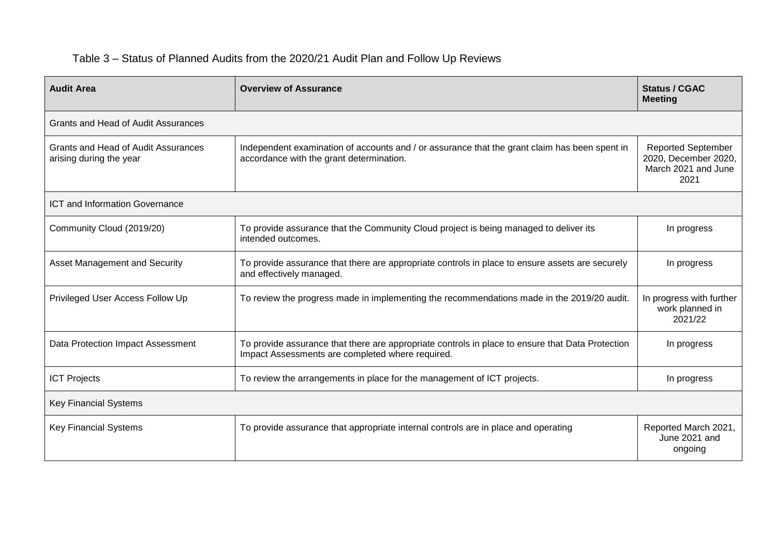# Table 3 – Status of Planned Audits from the 2020/21 Audit Plan and Follow Up Reviews

| <b>Audit Area</b>                                              | <b>Overview of Assurance</b>                                                                                                                         | <b>Status / CGAC</b><br><b>Meeting</b>                                           |
|----------------------------------------------------------------|------------------------------------------------------------------------------------------------------------------------------------------------------|----------------------------------------------------------------------------------|
| <b>Grants and Head of Audit Assurances</b>                     |                                                                                                                                                      |                                                                                  |
| Grants and Head of Audit Assurances<br>arising during the year | Independent examination of accounts and / or assurance that the grant claim has been spent in<br>accordance with the grant determination.            | <b>Reported September</b><br>2020, December 2020,<br>March 2021 and June<br>2021 |
| <b>ICT and Information Governance</b>                          |                                                                                                                                                      |                                                                                  |
| Community Cloud (2019/20)                                      | To provide assurance that the Community Cloud project is being managed to deliver its<br>intended outcomes.                                          | In progress                                                                      |
| <b>Asset Management and Security</b>                           | To provide assurance that there are appropriate controls in place to ensure assets are securely<br>and effectively managed.                          | In progress                                                                      |
| Privileged User Access Follow Up                               | To review the progress made in implementing the recommendations made in the 2019/20 audit.                                                           | In progress with further<br>work planned in<br>2021/22                           |
| Data Protection Impact Assessment                              | To provide assurance that there are appropriate controls in place to ensure that Data Protection<br>Impact Assessments are completed where required. | In progress                                                                      |
| <b>ICT Projects</b>                                            | To review the arrangements in place for the management of ICT projects.                                                                              | In progress                                                                      |
| <b>Key Financial Systems</b>                                   |                                                                                                                                                      |                                                                                  |
| <b>Key Financial Systems</b>                                   | To provide assurance that appropriate internal controls are in place and operating                                                                   | Reported March 2021,<br>June 2021 and<br>ongoing                                 |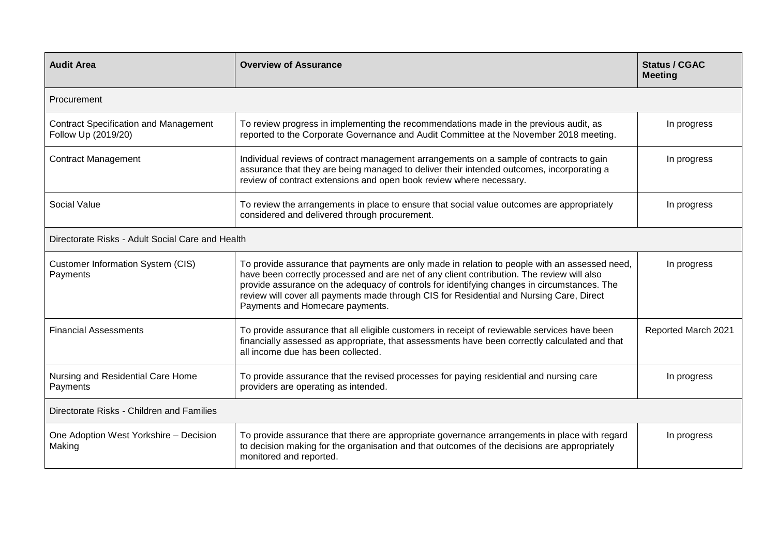| <b>Audit Area</b>                                                   | <b>Overview of Assurance</b>                                                                                                                                                                                                                                                                                                                                                                                              | <b>Status / CGAC</b><br><b>Meeting</b> |
|---------------------------------------------------------------------|---------------------------------------------------------------------------------------------------------------------------------------------------------------------------------------------------------------------------------------------------------------------------------------------------------------------------------------------------------------------------------------------------------------------------|----------------------------------------|
| Procurement                                                         |                                                                                                                                                                                                                                                                                                                                                                                                                           |                                        |
| <b>Contract Specification and Management</b><br>Follow Up (2019/20) | To review progress in implementing the recommendations made in the previous audit, as<br>reported to the Corporate Governance and Audit Committee at the November 2018 meeting.                                                                                                                                                                                                                                           | In progress                            |
| <b>Contract Management</b>                                          | Individual reviews of contract management arrangements on a sample of contracts to gain<br>assurance that they are being managed to deliver their intended outcomes, incorporating a<br>review of contract extensions and open book review where necessary.                                                                                                                                                               | In progress                            |
| Social Value                                                        | To review the arrangements in place to ensure that social value outcomes are appropriately<br>considered and delivered through procurement.                                                                                                                                                                                                                                                                               | In progress                            |
| Directorate Risks - Adult Social Care and Health                    |                                                                                                                                                                                                                                                                                                                                                                                                                           |                                        |
| <b>Customer Information System (CIS)</b><br>Payments                | To provide assurance that payments are only made in relation to people with an assessed need,<br>have been correctly processed and are net of any client contribution. The review will also<br>provide assurance on the adequacy of controls for identifying changes in circumstances. The<br>review will cover all payments made through CIS for Residential and Nursing Care, Direct<br>Payments and Homecare payments. | In progress                            |
| <b>Financial Assessments</b>                                        | To provide assurance that all eligible customers in receipt of reviewable services have been<br>financially assessed as appropriate, that assessments have been correctly calculated and that<br>all income due has been collected.                                                                                                                                                                                       | Reported March 2021                    |
| Nursing and Residential Care Home<br>Payments                       | To provide assurance that the revised processes for paying residential and nursing care<br>providers are operating as intended.                                                                                                                                                                                                                                                                                           | In progress                            |
| Directorate Risks - Children and Families                           |                                                                                                                                                                                                                                                                                                                                                                                                                           |                                        |
| One Adoption West Yorkshire - Decision<br>Making                    | To provide assurance that there are appropriate governance arrangements in place with regard<br>to decision making for the organisation and that outcomes of the decisions are appropriately<br>monitored and reported.                                                                                                                                                                                                   | In progress                            |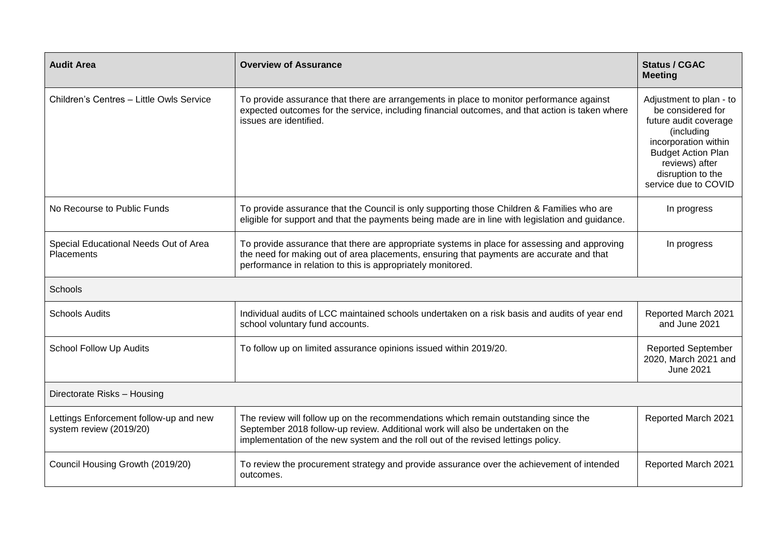| <b>Audit Area</b>                                                 | <b>Overview of Assurance</b>                                                                                                                                                                                                                                | <b>Status / CGAC</b><br><b>Meeting</b>                                                                                                                                                                  |
|-------------------------------------------------------------------|-------------------------------------------------------------------------------------------------------------------------------------------------------------------------------------------------------------------------------------------------------------|---------------------------------------------------------------------------------------------------------------------------------------------------------------------------------------------------------|
| Children's Centres - Little Owls Service                          | To provide assurance that there are arrangements in place to monitor performance against<br>expected outcomes for the service, including financial outcomes, and that action is taken where<br>issues are identified.                                       | Adjustment to plan - to<br>be considered for<br>future audit coverage<br>(including<br>incorporation within<br><b>Budget Action Plan</b><br>reviews) after<br>disruption to the<br>service due to COVID |
| No Recourse to Public Funds                                       | To provide assurance that the Council is only supporting those Children & Families who are<br>eligible for support and that the payments being made are in line with legislation and guidance.                                                              | In progress                                                                                                                                                                                             |
| Special Educational Needs Out of Area<br><b>Placements</b>        | To provide assurance that there are appropriate systems in place for assessing and approving<br>the need for making out of area placements, ensuring that payments are accurate and that<br>performance in relation to this is appropriately monitored.     | In progress                                                                                                                                                                                             |
| Schools                                                           |                                                                                                                                                                                                                                                             |                                                                                                                                                                                                         |
| <b>Schools Audits</b>                                             | Individual audits of LCC maintained schools undertaken on a risk basis and audits of year end<br>school voluntary fund accounts.                                                                                                                            | Reported March 2021<br>and June 2021                                                                                                                                                                    |
| School Follow Up Audits                                           | To follow up on limited assurance opinions issued within 2019/20.                                                                                                                                                                                           | <b>Reported September</b><br>2020, March 2021 and<br><b>June 2021</b>                                                                                                                                   |
| Directorate Risks - Housing                                       |                                                                                                                                                                                                                                                             |                                                                                                                                                                                                         |
| Lettings Enforcement follow-up and new<br>system review (2019/20) | The review will follow up on the recommendations which remain outstanding since the<br>September 2018 follow-up review. Additional work will also be undertaken on the<br>implementation of the new system and the roll out of the revised lettings policy. | Reported March 2021                                                                                                                                                                                     |
| Council Housing Growth (2019/20)                                  | To review the procurement strategy and provide assurance over the achievement of intended<br>outcomes.                                                                                                                                                      | Reported March 2021                                                                                                                                                                                     |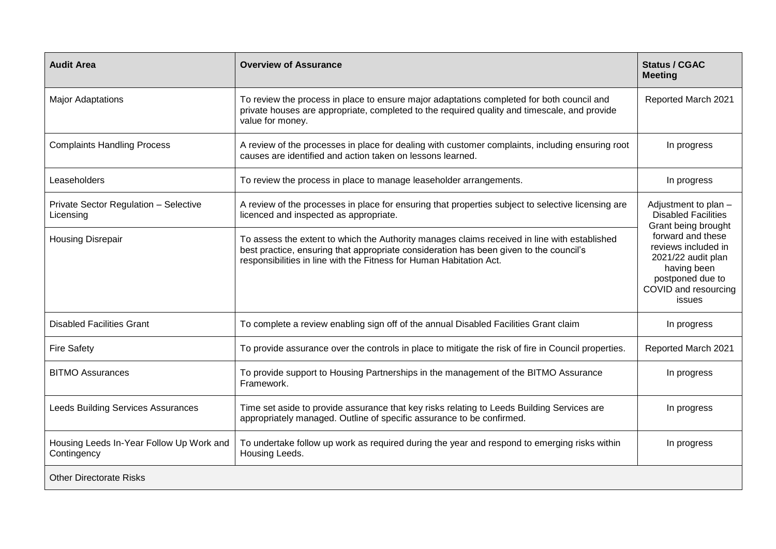| <b>Audit Area</b>                                       | <b>Overview of Assurance</b>                                                                                                                                                                                                                                  | <b>Status / CGAC</b><br><b>Meeting</b>                                                                                              |  |
|---------------------------------------------------------|---------------------------------------------------------------------------------------------------------------------------------------------------------------------------------------------------------------------------------------------------------------|-------------------------------------------------------------------------------------------------------------------------------------|--|
| <b>Major Adaptations</b>                                | To review the process in place to ensure major adaptations completed for both council and<br>private houses are appropriate, completed to the required quality and timescale, and provide<br>value for money.                                                 | Reported March 2021                                                                                                                 |  |
| <b>Complaints Handling Process</b>                      | A review of the processes in place for dealing with customer complaints, including ensuring root<br>causes are identified and action taken on lessons learned.                                                                                                | In progress                                                                                                                         |  |
| Leaseholders                                            | To review the process in place to manage leaseholder arrangements.                                                                                                                                                                                            | In progress                                                                                                                         |  |
| Private Sector Regulation - Selective<br>Licensing      | A review of the processes in place for ensuring that properties subject to selective licensing are<br>licenced and inspected as appropriate.                                                                                                                  | Adjustment to plan -<br><b>Disabled Facilities</b><br>Grant being brought                                                           |  |
| <b>Housing Disrepair</b>                                | To assess the extent to which the Authority manages claims received in line with established<br>best practice, ensuring that appropriate consideration has been given to the council's<br>responsibilities in line with the Fitness for Human Habitation Act. | forward and these<br>reviews included in<br>2021/22 audit plan<br>having been<br>postponed due to<br>COVID and resourcing<br>issues |  |
| <b>Disabled Facilities Grant</b>                        | To complete a review enabling sign off of the annual Disabled Facilities Grant claim                                                                                                                                                                          | In progress                                                                                                                         |  |
| <b>Fire Safety</b>                                      | To provide assurance over the controls in place to mitigate the risk of fire in Council properties.                                                                                                                                                           | Reported March 2021                                                                                                                 |  |
| <b>BITMO Assurances</b>                                 | To provide support to Housing Partnerships in the management of the BITMO Assurance<br>Framework.                                                                                                                                                             | In progress                                                                                                                         |  |
| <b>Leeds Building Services Assurances</b>               | Time set aside to provide assurance that key risks relating to Leeds Building Services are<br>appropriately managed. Outline of specific assurance to be confirmed.                                                                                           | In progress                                                                                                                         |  |
| Housing Leeds In-Year Follow Up Work and<br>Contingency | To undertake follow up work as required during the year and respond to emerging risks within<br>Housing Leeds.                                                                                                                                                | In progress                                                                                                                         |  |
| <b>Other Directorate Risks</b>                          |                                                                                                                                                                                                                                                               |                                                                                                                                     |  |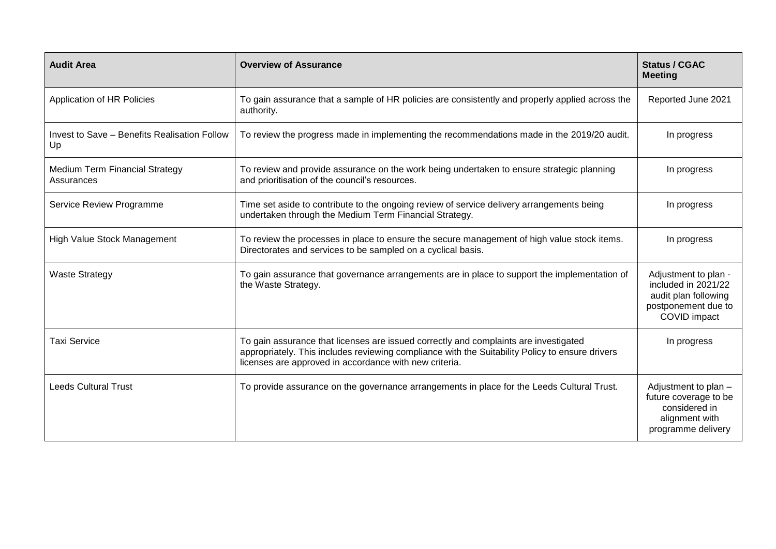| <b>Audit Area</b>                                   | <b>Overview of Assurance</b>                                                                                                                                                                                                                      | <b>Status / CGAC</b><br><b>Meeting</b>                                                                     |
|-----------------------------------------------------|---------------------------------------------------------------------------------------------------------------------------------------------------------------------------------------------------------------------------------------------------|------------------------------------------------------------------------------------------------------------|
| Application of HR Policies                          | To gain assurance that a sample of HR policies are consistently and properly applied across the<br>authority.                                                                                                                                     | Reported June 2021                                                                                         |
| Invest to Save - Benefits Realisation Follow<br>Up  | To review the progress made in implementing the recommendations made in the 2019/20 audit.                                                                                                                                                        | In progress                                                                                                |
| <b>Medium Term Financial Strategy</b><br>Assurances | To review and provide assurance on the work being undertaken to ensure strategic planning<br>and prioritisation of the council's resources.                                                                                                       | In progress                                                                                                |
| Service Review Programme                            | Time set aside to contribute to the ongoing review of service delivery arrangements being<br>undertaken through the Medium Term Financial Strategy.                                                                                               | In progress                                                                                                |
| High Value Stock Management                         | To review the processes in place to ensure the secure management of high value stock items.<br>Directorates and services to be sampled on a cyclical basis.                                                                                       | In progress                                                                                                |
| <b>Waste Strategy</b>                               | To gain assurance that governance arrangements are in place to support the implementation of<br>the Waste Strategy.                                                                                                                               | Adjustment to plan -<br>included in 2021/22<br>audit plan following<br>postponement due to<br>COVID impact |
| <b>Taxi Service</b>                                 | To gain assurance that licenses are issued correctly and complaints are investigated<br>appropriately. This includes reviewing compliance with the Suitability Policy to ensure drivers<br>licenses are approved in accordance with new criteria. | In progress                                                                                                |
| <b>Leeds Cultural Trust</b>                         | To provide assurance on the governance arrangements in place for the Leeds Cultural Trust.                                                                                                                                                        | Adjustment to plan -<br>future coverage to be<br>considered in<br>alignment with<br>programme delivery     |